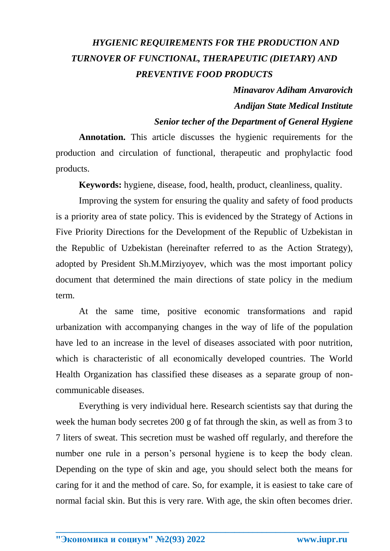## *HYGIENIC REQUIREMENTS FOR THE PRODUCTION AND TURNOVER OF FUNCTIONAL, THERAPEUTIC (DIETARY) AND PREVENTIVE FOOD PRODUCTS*

## *Minavarov Adiham Anvarovich Andijan State Medical Institute*

## *Senior techer of the Department of General Hygiene*

**Annotation.** This article discusses the hygienic requirements for the production and circulation of functional, therapeutic and prophylactic food products.

**Keywords:** hygiene, disease, food, health, product, cleanliness, quality.

Improving the system for ensuring the quality and safety of food products is a priority area of state policy. This is evidenced by the Strategy of Actions in Five Priority Directions for the Development of the Republic of Uzbekistan in the Republic of Uzbekistan (hereinafter referred to as the Action Strategy), adopted by President Sh.M.Mirziyoyev, which was the most important policy document that determined the main directions of state policy in the medium term.

At the same time, positive economic transformations and rapid urbanization with accompanying changes in the way of life of the population have led to an increase in the level of diseases associated with poor nutrition, which is characteristic of all economically developed countries. The World Health Organization has classified these diseases as a separate group of noncommunicable diseases.

Everything is very individual here. Research scientists say that during the week the human body secretes 200 g of fat through the skin, as well as from 3 to 7 liters of sweat. This secretion must be washed off regularly, and therefore the number one rule in a person's personal hygiene is to keep the body clean. Depending on the type of skin and age, you should select both the means for caring for it and the method of care. So, for example, it is easiest to take care of normal facial skin. But this is very rare. With age, the skin often becomes drier.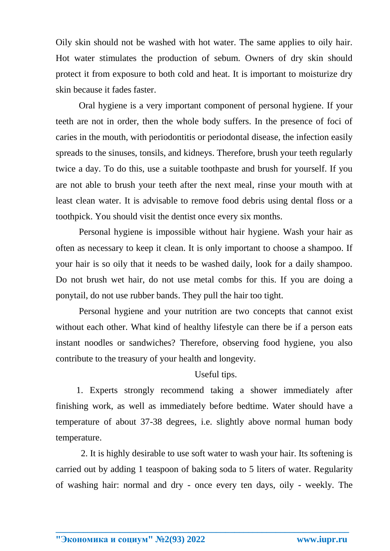Oily skin should not be washed with hot water. The same applies to oily hair. Hot water stimulates the production of sebum. Owners of dry skin should protect it from exposure to both cold and heat. It is important to moisturize dry skin because it fades faster.

Oral hygiene is a very important component of personal hygiene. If your teeth are not in order, then the whole body suffers. In the presence of foci of caries in the mouth, with periodontitis or periodontal disease, the infection easily spreads to the sinuses, tonsils, and kidneys. Therefore, brush your teeth regularly twice a day. To do this, use a suitable toothpaste and brush for yourself. If you are not able to brush your teeth after the next meal, rinse your mouth with at least clean water. It is advisable to remove food debris using dental floss or a toothpick. You should visit the dentist once every six months.

Personal hygiene is impossible without hair hygiene. Wash your hair as often as necessary to keep it clean. It is only important to choose a shampoo. If your hair is so oily that it needs to be washed daily, look for a daily shampoo. Do not brush wet hair, do not use metal combs for this. If you are doing a ponytail, do not use rubber bands. They pull the hair too tight.

Personal hygiene and your nutrition are two concepts that cannot exist without each other. What kind of healthy lifestyle can there be if a person eats instant noodles or sandwiches? Therefore, observing food hygiene, you also contribute to the treasury of your health and longevity.

Useful tips.

 1. Experts strongly recommend taking a shower immediately after finishing work, as well as immediately before bedtime. Water should have a temperature of about 37-38 degrees, i.e. slightly above normal human body temperature.

 2. It is highly desirable to use soft water to wash your hair. Its softening is carried out by adding 1 teaspoon of baking soda to 5 liters of water. Regularity of washing hair: normal and dry - once every ten days, oily - weekly. The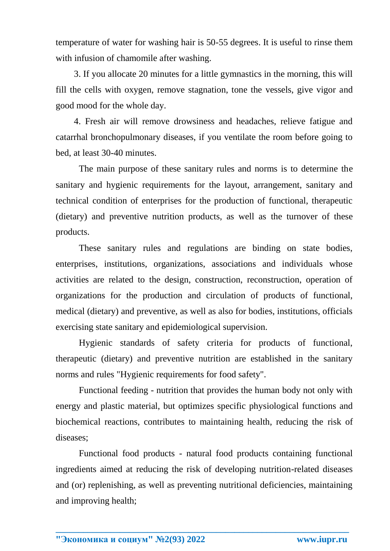temperature of water for washing hair is 50-55 degrees. It is useful to rinse them with infusion of chamomile after washing.

 3. If you allocate 20 minutes for a little gymnastics in the morning, this will fill the cells with oxygen, remove stagnation, tone the vessels, give vigor and good mood for the whole day.

 4. Fresh air will remove drowsiness and headaches, relieve fatigue and catarrhal bronchopulmonary diseases, if you ventilate the room before going to bed, at least 30-40 minutes.

The main purpose of these sanitary rules and norms is to determine the sanitary and hygienic requirements for the layout, arrangement, sanitary and technical condition of enterprises for the production of functional, therapeutic (dietary) and preventive nutrition products, as well as the turnover of these products.

These sanitary rules and regulations are binding on state bodies, enterprises, institutions, organizations, associations and individuals whose activities are related to the design, construction, reconstruction, operation of organizations for the production and circulation of products of functional, medical (dietary) and preventive, as well as also for bodies, institutions, officials exercising state sanitary and epidemiological supervision.

Hygienic standards of safety criteria for products of functional, therapeutic (dietary) and preventive nutrition are established in the sanitary norms and rules "Hygienic requirements for food safety".

Functional feeding - nutrition that provides the human body not only with energy and plastic material, but optimizes specific physiological functions and biochemical reactions, contributes to maintaining health, reducing the risk of diseases;

Functional food products - natural food products containing functional ingredients aimed at reducing the risk of developing nutrition-related diseases and (or) replenishing, as well as preventing nutritional deficiencies, maintaining and improving health;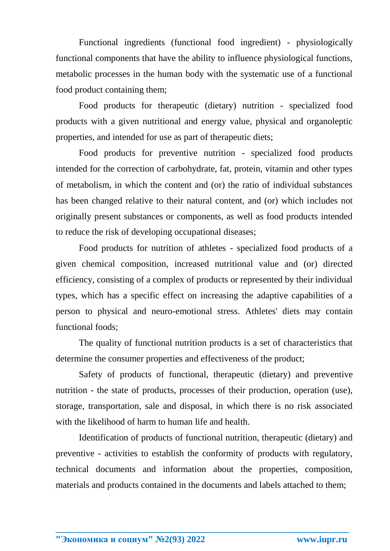Functional ingredients (functional food ingredient) - physiologically functional components that have the ability to influence physiological functions, metabolic processes in the human body with the systematic use of a functional food product containing them;

Food products for therapeutic (dietary) nutrition - specialized food products with a given nutritional and energy value, physical and organoleptic properties, and intended for use as part of therapeutic diets;

Food products for preventive nutrition - specialized food products intended for the correction of carbohydrate, fat, protein, vitamin and other types of metabolism, in which the content and (or) the ratio of individual substances has been changed relative to their natural content, and (or) which includes not originally present substances or components, as well as food products intended to reduce the risk of developing occupational diseases;

Food products for nutrition of athletes - specialized food products of a given chemical composition, increased nutritional value and (or) directed efficiency, consisting of a complex of products or represented by their individual types, which has a specific effect on increasing the adaptive capabilities of a person to physical and neuro-emotional stress. Athletes' diets may contain functional foods;

The quality of functional nutrition products is a set of characteristics that determine the consumer properties and effectiveness of the product;

Safety of products of functional, therapeutic (dietary) and preventive nutrition - the state of products, processes of their production, operation (use), storage, transportation, sale and disposal, in which there is no risk associated with the likelihood of harm to human life and health.

Identification of products of functional nutrition, therapeutic (dietary) and preventive - activities to establish the conformity of products with regulatory, technical documents and information about the properties, composition, materials and products contained in the documents and labels attached to them;